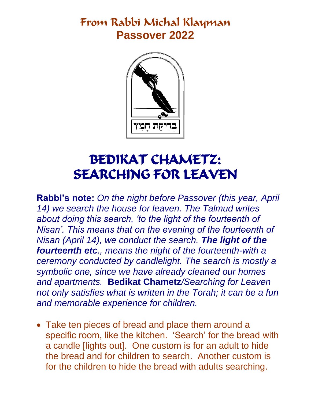## From Rabbi Michal Klayman **Passover 2022**



## BEDIKAT CHAMETZ: SEARCHING FOR LEAVEN

**Rabbi's note:** *On the night before Passover (this year, April 14) we search the house for leaven. The Talmud writes about doing this search, 'to the light of the fourteenth of Nisan'. This means that on the evening of the fourteenth of Nisan (April 14), we conduct the search. The light of the fourteenth etc., means the night of the fourteenth-with a ceremony conducted by candlelight. The search is mostly a symbolic one, since we have already cleaned our homes and apartments.* **Bedikat Chametz***/Searching for Leaven not only satisfies what is written in the Torah; it can be a fun and memorable experience for children.* 

 Take ten pieces of bread and place them around a specific room, like the kitchen. 'Search' for the bread with a candle [lights out]. One custom is for an adult to hide the bread and for children to search. Another custom is for the children to hide the bread with adults searching.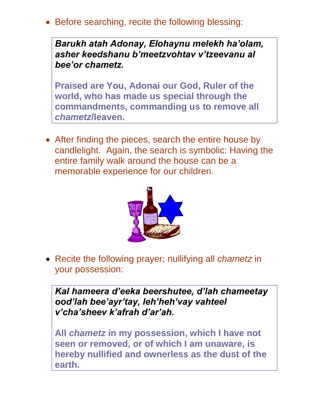• Before searching, recite the following blessing:

*Barukh atah Adonay, Elohaynu melekh ha'olam, asher keedshanu b'meetzvohtav v'tzeevanu al bee'or chametz.*

**Praised are You, Adonai our God, Ruler of the world, who has made us special through the commandments, commanding us to remove all**  *chametz***/leaven.**

• After finding the pieces, search the entire house by candlelight. Again, the search is symbolic: Having the entire family walk around the house can be a memorable experience for our children.



 Recite the following prayer; nullifying all *chametz* in your possession:

*Kal hameera d'eeka beershutee, d'lah chameetay ood'lah bee'ayr'tay, leh'heh'vay vahteel v'cha'sheev k'afrah d'ar'ah.*

**All** *chametz* **in my possession, which I have not seen or removed, or of which I am unaware, is hereby nullified and ownerless as the dust of the earth.**